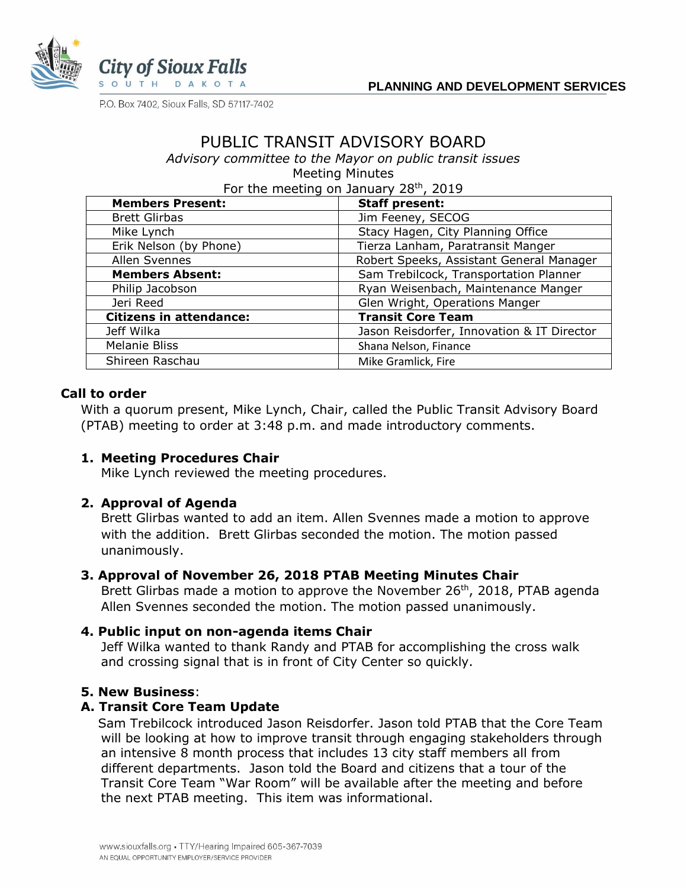

P.O. Box 7402, Sioux Falls, SD 57117-7402

# PUBLIC TRANSIT ADVISORY BOARD

*Advisory committee to the Mayor on public transit issues* Meeting Minutes

For the meeting on January 28<sup>th</sup>, 2019

| <b>Members Present:</b>        | <b>Staff present:</b>                      |
|--------------------------------|--------------------------------------------|
| <b>Brett Glirbas</b>           | Jim Feeney, SECOG                          |
| Mike Lynch                     | Stacy Hagen, City Planning Office          |
| Erik Nelson (by Phone)         | Tierza Lanham, Paratransit Manger          |
| Allen Svennes                  | Robert Speeks, Assistant General Manager   |
| <b>Members Absent:</b>         | Sam Trebilcock, Transportation Planner     |
| Philip Jacobson                | Ryan Weisenbach, Maintenance Manger        |
| Jeri Reed                      | Glen Wright, Operations Manger             |
| <b>Citizens in attendance:</b> | <b>Transit Core Team</b>                   |
| Jeff Wilka                     | Jason Reisdorfer, Innovation & IT Director |
| Melanie Bliss                  | Shana Nelson, Finance                      |
| Shireen Raschau                | Mike Gramlick, Fire                        |

### **Call to order**

With a quorum present, Mike Lynch, Chair, called the Public Transit Advisory Board (PTAB) meeting to order at 3:48 p.m. and made introductory comments.

### **1. Meeting Procedures Chair**

Mike Lynch reviewed the meeting procedures.

### **2. Approval of Agenda**

Brett Glirbas wanted to add an item. Allen Svennes made a motion to approve with the addition. Brett Glirbas seconded the motion. The motion passed unanimously.

### **3. Approval of November 26, 2018 PTAB Meeting Minutes Chair**

Brett Glirbas made a motion to approve the November 26<sup>th</sup>, 2018, PTAB agenda Allen Svennes seconded the motion. The motion passed unanimously.

### **4. Public input on non-agenda items Chair**

Jeff Wilka wanted to thank Randy and PTAB for accomplishing the cross walk and crossing signal that is in front of City Center so quickly.

### **5. New Business**:

### **A. Transit Core Team Update**

 Sam Trebilcock introduced Jason Reisdorfer. Jason told PTAB that the Core Team will be looking at how to improve transit through engaging stakeholders through an intensive 8 month process that includes 13 city staff members all from different departments. Jason told the Board and citizens that a tour of the Transit Core Team "War Room" will be available after the meeting and before the next PTAB meeting. This item was informational.